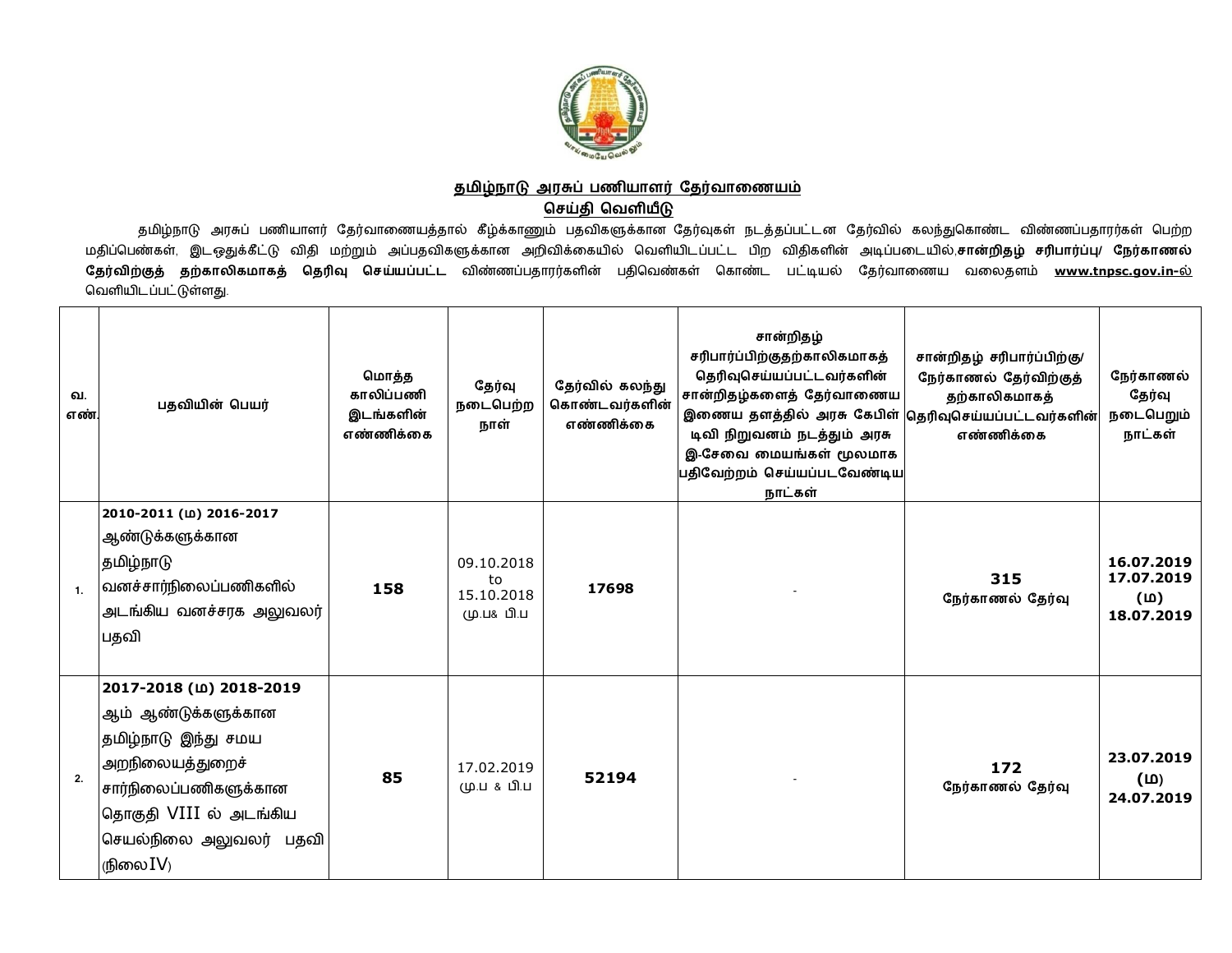

## <u>தமிழ்நாடு அரசுப் பணியாளர் தேர்வாணையம்</u>

## **செய்தி வெளியீ**டு

தமிழ்நாடு அரசுப் பணியாளர் தேர்வாணையத்தால் கீழ்க்காணும் பதவிகளுக்கான தேர்வுகள் நடத்தப்பட்டன தேர்வில் கலந்துகொண்ட விண்ணப்பதாரர்கள் பெற்ற மதிப்பெண்கள், இடஒதுக்கீட்டு விதி மற்றும் அப்பதவிகளுக்கான அறிவிக்கையில் வெளியிடப்பட்ட பிற விதிகளின் அடிப்படையில்,**சான்றிதழ் சரிபார்ப்பு/ நேர்காணல்** ு தேர்விற்குத் தற்காலிகமாகத் தெரிவு செய்யப்பட்ட விண்ணப்பதாரர்களின் பதிவெண்கள் கொண்ட பட்டியல் தேர்வாணைய வலைதளம் <u>[www.tnpsc.gov.in-](http://www.tnpsc.gov.in-)ல்</u> வெளியிடப்பட்டுள்ளது.

| வ.<br>எண்      | பதவியின் பெயர்                                                                                                                                                                        | மொத்த<br>காலிப்பணி<br>இடங்களின்<br>எண்ணிக்கை | தேர்வு<br>நடைபெற்ற<br>நாள்                   | தேர்வில் கலந்து<br>கொண்டவர்களின்<br>எண்ணிக்கை | சான்றிதழ்<br>சரிபார்ப்பிற்குதற்காலிகமாகத்<br>தெரிவுசெய்யப்பட்டவர்களின்<br>சான்றிதழ்களைத் தேர்வாணைய<br>இணைய தளத்தில் அரசு கேபிள் தெரிவுசெய்யப்பட்டவர்களின்<br>டிவி நிறுவனம் நடத்தும் அரசு<br>இ-சேவை மையங்கள் மூலமாக<br>பதிவேற்றம் செய்யப்படவேண்டிய<br>நாட்கள் | சான்றிதழ் சரிபார்ப்பிற்கு/<br>நேர்காணல் தேர்விற்குத்<br>தற்காலிகமாகத்<br>எண்ணிக்கை | நேர்காணல்<br>தேர்வு<br>நடைபெறும்<br>நாட்கள்          |
|----------------|---------------------------------------------------------------------------------------------------------------------------------------------------------------------------------------|----------------------------------------------|----------------------------------------------|-----------------------------------------------|--------------------------------------------------------------------------------------------------------------------------------------------------------------------------------------------------------------------------------------------------------------|------------------------------------------------------------------------------------|------------------------------------------------------|
| $\mathbf{1}$ . | 2010-2011 (L) 2016-2017<br>ஆண்டுக்களுக்கான<br> தமிழ்நாடு<br> வனச்சார்நிலைப்பணிகளில்<br>அடங்கிய வனச்சரக அலுவலர்<br>பதவி                                                                | 158                                          | 09.10.2018<br>to<br>15.10.2018<br>மு.ப& பி.ப | 17698                                         |                                                                                                                                                                                                                                                              | 315<br>நேர்காணல் தேர்வு                                                            | 16.07.2019<br>17.07.2019<br>$(\omega)$<br>18.07.2019 |
| 2.             | 2017-2018 (L) 2018-2019<br>ஆம் ஆண்டுக்களுக்கான<br>தமிழ்நாடு இந்து சமய<br>அறநிலையத்துறைச்<br>சார்நிலைப்பணிகளுக்கான<br> தொகுதி VIII ல் அடங்கிய<br> செயல்நிலை அலுவலர் பதவி <br>(நிலை IV) | 85                                           | 17.02.2019<br>மு.ப & பி.ப                    | 52194                                         |                                                                                                                                                                                                                                                              | 172<br>நேர்காணல் தேர்வு                                                            | 23.07.2019<br>(LD)<br>24.07.2019                     |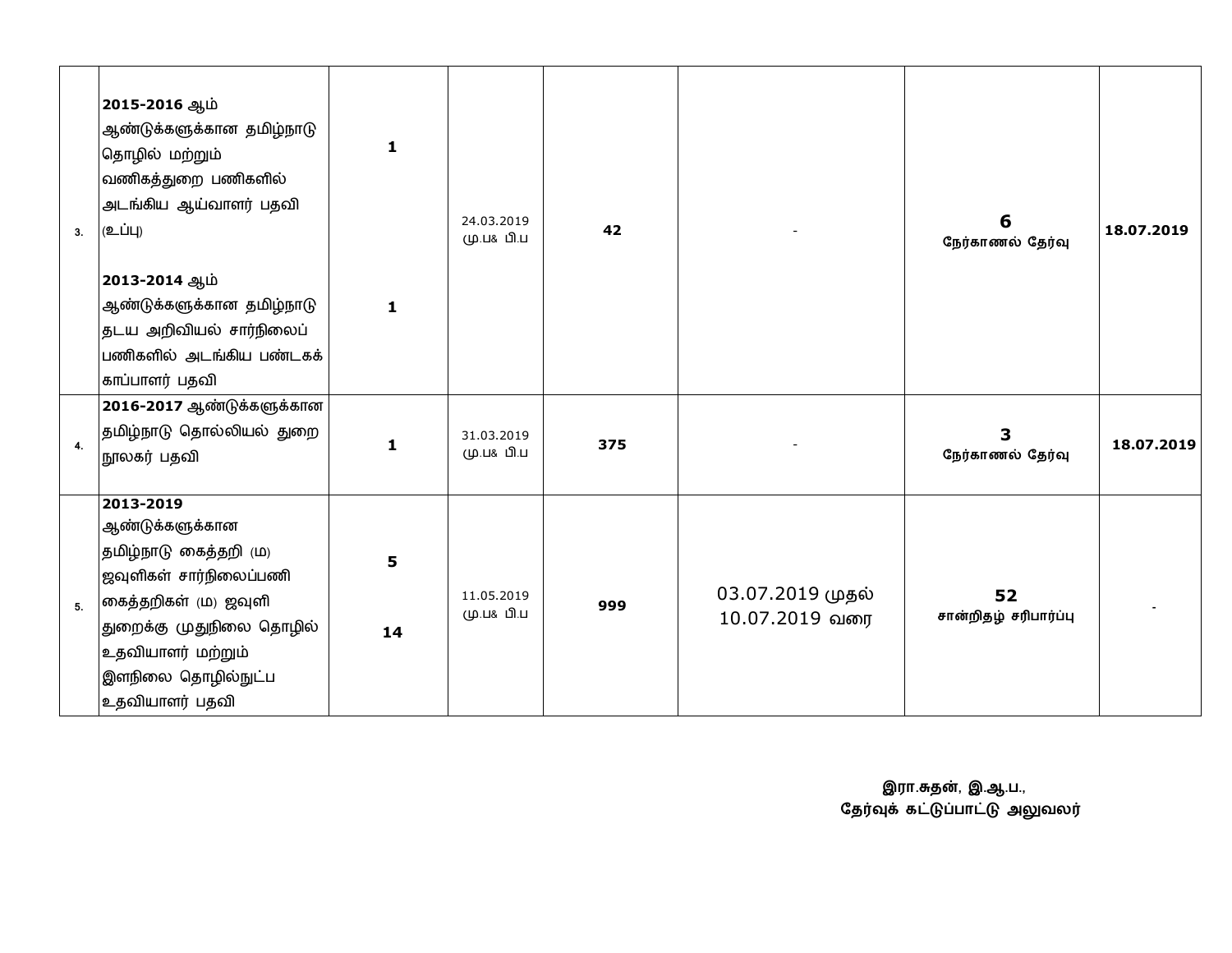| 3. | 2015-2016 ஆம்<br>ஆண்டுக்களுக்கான தமிழ்நாடு<br>தொழில் மற்றும்<br>வணிகத்துறை பணிகளில்<br>அடங்கிய ஆய்வாளர் பதவி<br>(உப்பு)<br>2013-2014 ஆம்<br>ஆண்டுக்களுக்கான தமிழ்நாடு<br>தடய அறிவியல் சார்நிலைப்<br>பணிகளில் அடங்கிய பண்டகக்<br>காப்பாளர் பதவி | $\mathbf{1}$<br>$\mathbf{1}$ | 24.03.2019<br>மு.ப& பி.ப | 42  |                                    | 6<br>நேர்காணல் தேர்வு       | 18.07.2019 |
|----|------------------------------------------------------------------------------------------------------------------------------------------------------------------------------------------------------------------------------------------------|------------------------------|--------------------------|-----|------------------------------------|-----------------------------|------------|
| 4. | 2016-2017 ஆண்டுக்களுக்கான<br>தமிழ்நாடு தொல்லியல் துறை<br>நூலகர் பதவி                                                                                                                                                                           | 1                            | 31.03.2019<br>மு.ப& பி.ப | 375 |                                    | 3<br>நேர்காணல் தேர்வு       | 18.07.2019 |
| 5. | 2013-2019<br>ஆண்டுக்களுக்கான<br>தமிழ்நாடு கைத்தறி (ம)<br>ஜவுளிகள் சார்நிலைப்பணி<br>கைத்தறிகள் (ம) ஜவுளி<br>துறைக்கு முதுநிலை தொழில்<br>உதவியாளர் மற்றும்<br>இளநிலை தொழில்நுட்ப<br>உதவியாளர் பதவி                                               | 5<br>14                      | 11.05.2019<br>மு.பஃ பி.ப | 999 | 03.07.2019 முதல்<br>10.07.2019 வரை | 52<br>சான்றிதழ் சரிபார்ப்பு |            |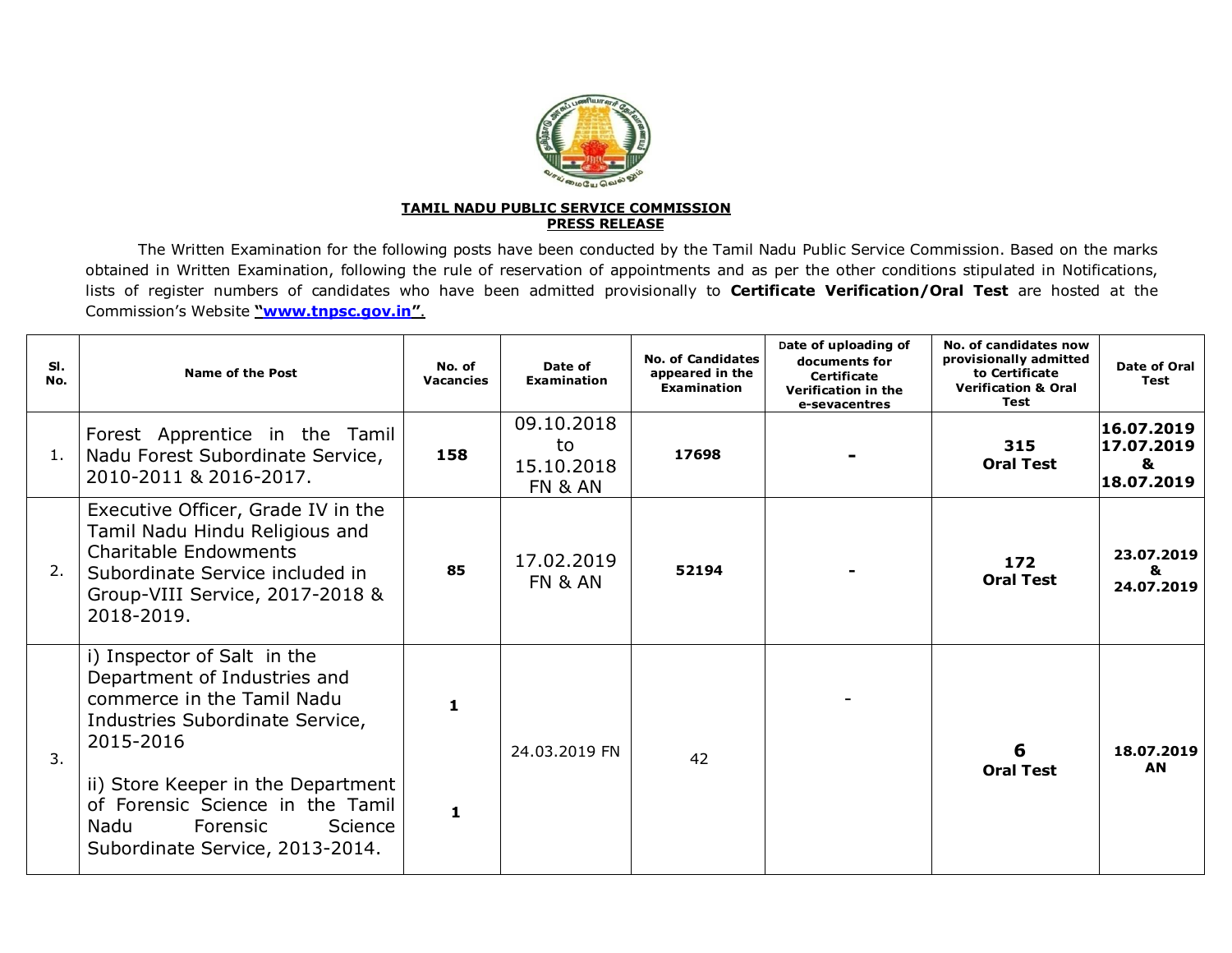

## **TAMIL NADU PUBLIC SERVICE COMMISSION PRESS RELEASE**

The Written Examination for the following posts have been conducted by the Tamil Nadu Public Service Commission. Based on the marks obtained in Written Examination, following the rule of reservation of appointments and as per the other conditions stipulated in Notifications, lists of register numbers of candidates who have been admitted provisionally to **Certificate Verification/Oral Test** are hosted at the Commission's Website **["www.tnpsc.gov.in](http://www.tnpsc.gov.in)"**.

| SI.<br>No. | <b>Name of the Post</b>                                                                                                                                                                                                                                                               | No. of<br><b>Vacancies</b> | Date of<br><b>Examination</b>             | <b>No. of Candidates</b><br>appeared in the<br><b>Examination</b> | Date of uploading of<br>documents for<br>Certificate<br>Verification in the<br>e-sevacentres | No. of candidates now<br>provisionally admitted<br>to Certificate<br><b>Verification &amp; Oral</b><br>Test | Date of Oral<br>Test                        |
|------------|---------------------------------------------------------------------------------------------------------------------------------------------------------------------------------------------------------------------------------------------------------------------------------------|----------------------------|-------------------------------------------|-------------------------------------------------------------------|----------------------------------------------------------------------------------------------|-------------------------------------------------------------------------------------------------------------|---------------------------------------------|
| 1.         | Forest Apprentice in the Tamil<br>Nadu Forest Subordinate Service,<br>2010-2011 & 2016-2017.                                                                                                                                                                                          | 158                        | 09.10.2018<br>to<br>15.10.2018<br>FN & AN | 17698                                                             |                                                                                              | 315<br><b>Oral Test</b>                                                                                     | 16.07.2019<br>17.07.2019<br>&<br>18.07.2019 |
| 2.         | Executive Officer, Grade IV in the<br>Tamil Nadu Hindu Religious and<br><b>Charitable Endowments</b><br>Subordinate Service included in<br>Group-VIII Service, 2017-2018 &<br>2018-2019.                                                                                              | 85                         | 17.02.2019<br>FN & AN                     | 52194                                                             |                                                                                              | 172<br><b>Oral Test</b>                                                                                     | 23.07.2019<br>&<br>24.07.2019               |
| 3.         | i) Inspector of Salt in the<br>Department of Industries and<br>commerce in the Tamil Nadu<br>Industries Subordinate Service,<br>2015-2016<br>ii) Store Keeper in the Department<br>of Forensic Science in the Tamil<br>Nadu<br>Forensic<br>Science<br>Subordinate Service, 2013-2014. | 1.<br>$\mathbf{1}$         | 24.03.2019 FN                             | 42                                                                |                                                                                              | 6<br><b>Oral Test</b>                                                                                       | 18.07.2019<br><b>AN</b>                     |